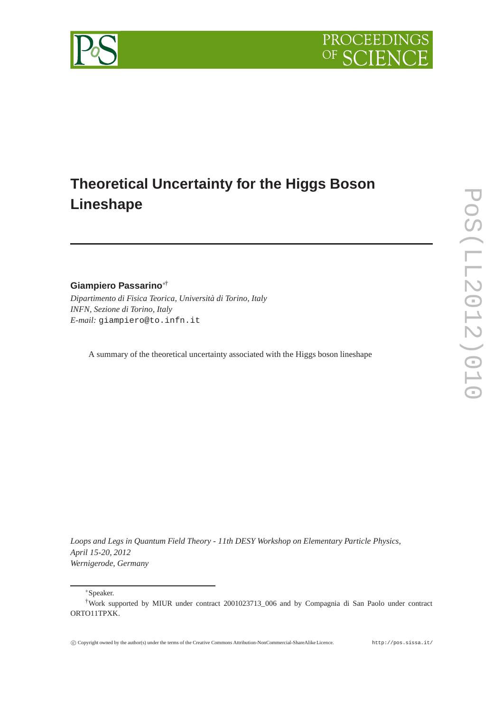

# **Theoretical Uncertainty for the Higgs Boson Lineshape**

**Giampiero Passarino**∗†

*Dipartimento di Fisica Teorica, Università di Torino, Italy INFN, Sezione di Torino, Italy E-mail:* giampiero@to.infn.it

A summary of the theoretical uncertainty associated with the Higgs boson lineshape

*Loops and Legs in Quantum Field Theory - 11th DESY Workshop on Elementary Particle Physics, April 15-20, 2012 Wernigerode, Germany*

∗Speaker.



<sup>†</sup>Work supported by MIUR under contract 2001023713\_006 and by Compagnia di San Paolo under contract ORTO11TPXK.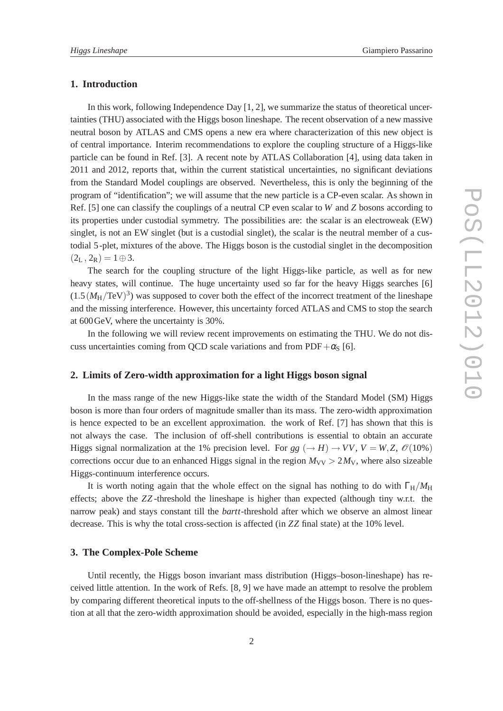#### **1. Introduction**

In this work, following Independence Day [1, 2], we summarize the status of theoretical uncertainties (THU) associated with the Higgs boson lineshape. The recent observation of a new massive neutral boson by ATLAS and CMS opens a new era where characterization of this new object is of central importance. Interim recommendations to explore the coupling structure of a Higgs-like particle can be found in Ref. [3]. A recent note by ATLAS Collaboration [4], using data taken in 2011 and 2012, reports that, within the current statistical uncertainties, no significant deviations from the Standard Model couplings are observed. Nevertheless, this is only the beginning of the program of "identification"; we will assume that the new particle is a CP-even scalar. As shown in Ref. [5] one can classify the couplings of a neutral CP even scalar to *W* and *Z* bosons according to its properties under custodial symmetry. The possibilities are: the scalar is an electroweak (EW) singlet, is not an EW singlet (but is a custodial singlet), the scalar is the neutral member of a custodial 5-plet, mixtures of the above. The Higgs boson is the custodial singlet in the decomposition  $(2_L, 2_R) = 1 \oplus 3.$ 

The search for the coupling structure of the light Higgs-like particle, as well as for new heavy states, will continue. The huge uncertainty used so far for the heavy Higgs searches [6]  $(1.5(M_H/TeV)^3)$  was supposed to cover both the effect of the incorrect treatment of the lineshape and the missing interference. However, this uncertainty forced ATLAS and CMS to stop the search at 600GeV, where the uncertainty is 30%.

In the following we will review recent improvements on estimating the THU. We do not discuss uncertainties coming from QCD scale variations and from PDF+ $\alpha$ <sub>S</sub> [6].

# **2. Limits of Zero-width approximation for a light Higgs boson signal**

In the mass range of the new Higgs-like state the width of the Standard Model (SM) Higgs boson is more than four orders of magnitude smaller than its mass. The zero-width approximation is hence expected to be an excellent approximation. the work of Ref. [7] has shown that this is not always the case. The inclusion of off-shell contributions is essential to obtain an accurate Higgs signal normalization at the 1% precision level. For *gg* ( $\rightarrow$  *H*)  $\rightarrow$  *VV*, *V* = *W*, *Z*,  $\mathcal{O}(10\%)$ corrections occur due to an enhanced Higgs signal in the region  $M_{\rm VV} > 2 M_{\rm V}$ , where also sizeable Higgs-continuum interference occurs.

It is worth noting again that the whole effect on the signal has nothing to do with  $\Gamma_H/M_H$ effects; above the *ZZ* -threshold the lineshape is higher than expected (although tiny w.r.t. the narrow peak) and stays constant till the *bartt*-threshold after which we observe an almost linear decrease. This is why the total cross-section is affected (in *ZZ* final state) at the 10% level.

## **3. The Complex-Pole Scheme**

Until recently, the Higgs boson invariant mass distribution (Higgs–boson-lineshape) has received little attention. In the work of Refs. [8, 9] we have made an attempt to resolve the problem by comparing different theoretical inputs to the off-shellness of the Higgs boson. There is no question at all that the zero-width approximation should be avoided, especially in the high-mass region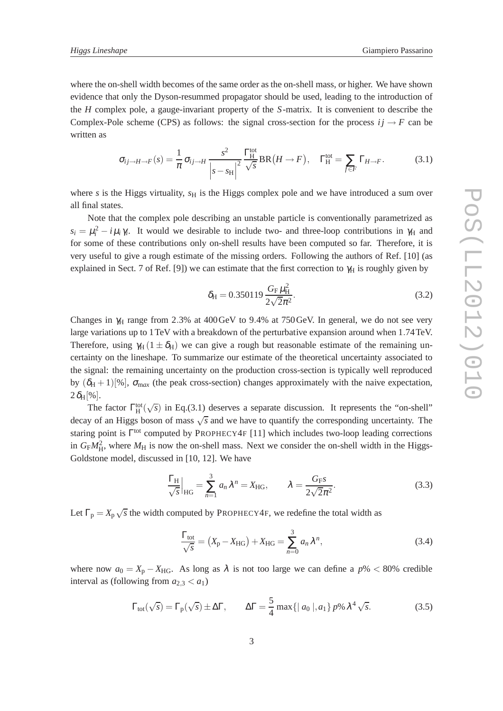where the on-shell width becomes of the same order as the on-shell mass, or higher. We have shown evidence that only the Dyson-resummed propagator should be used, leading to the introduction of the *H* complex pole, a gauge-invariant property of the *S*-matrix. It is convenient to describe the Complex-Pole scheme (CPS) as follows: the signal cross-section for the process  $i \rightarrow F$  can be written as

$$
\sigma_{ij \to H \to F}(s) = \frac{1}{\pi} \sigma_{ij \to H} \frac{s^2}{\left| s - s_H \right|^2} \frac{\Gamma_H^{\text{tot}}}{\sqrt{s}} BR(H \to F), \quad \Gamma_H^{\text{tot}} = \sum_{f \in F} \Gamma_{H \to F}.
$$
 (3.1)

where  $s$  is the Higgs virtuality,  $s_H$  is the Higgs complex pole and we have introduced a sum over all final states.

Note that the complex pole describing an unstable particle is conventionally parametrized as  $s_i = \mu_i^2 - i \mu_i \gamma_i$ . It would we desirable to include two- and three-loop contributions in  $\gamma_H$  and for some of these contributions only on-shell results have been computed so far. Therefore, it is very useful to give a rough estimate of the missing orders. Following the authors of Ref. [10] (as explained in Sect. 7 of Ref. [9]) we can estimate that the first correction to  $\gamma_H$  is roughly given by

$$
\delta_{\rm H} = 0.350119 \frac{G_{\rm F} \mu_{\rm H}^2}{2\sqrt{2}\pi^2}.
$$
\n(3.2)

Changes in  $\gamma_H$  range from 2.3% at 400 GeV to 9.4% at 750 GeV. In general, we do not see very large variations up to 1TeV with a breakdown of the perturbative expansion around when 1.74TeV. Therefore, using  $\gamma_H$  (1  $\pm \delta_H$ ) we can give a rough but reasonable estimate of the remaining uncertainty on the lineshape. To summarize our estimate of the theoretical uncertainty associated to the signal: the remaining uncertainty on the production cross-section is typically well reproduced by  $(\delta_H + 1)[\%]$ ,  $\sigma_{max}$  (the peak cross-section) changes approximately with the naive expectation,  $2\delta_{\rm H}[\%]$ .

The factor  $\Gamma_H^{\text{tot}}(\sqrt{s})$  in Eq.(3.1) deserves a separate discussion. It represents the "on-shell" decay of an Higgs boson of mass  $\sqrt{s}$  and we have to quantify the corresponding uncertainty. The staring point is Γ<sup>tot</sup> computed by PROPHECY4F [11] which includes two-loop leading corrections in  $G_F M_H^2$ , where  $M_H$  is now the on-shell mass. Next we consider the on-shell width in the Higgs-Goldstone model, discussed in [10, 12]. We have

$$
\frac{\Gamma_{\rm H}}{\sqrt{s}}\Big|_{\rm HG} = \sum_{n=1}^3 a_n \lambda^n = X_{\rm HG}, \qquad \lambda = \frac{G_{\rm FS}}{2\sqrt{2}\pi^2}.
$$
 (3.3)

Let  $\Gamma_p = X_p \sqrt{s}$  the width computed by PROPHECY4F, we redefine the total width as

$$
\frac{\Gamma_{\text{tot}}}{\sqrt{s}} = (X_{\text{P}} - X_{\text{HG}}) + X_{\text{HG}} = \sum_{n=0}^{3} a_n \lambda^n,
$$
\n(3.4)

where now  $a_0 = X_p - X_{HG}$ . As long as  $\lambda$  is not too large we can define a  $p\% < 80\%$  credible interval as (following from  $a_{2,3} < a_1$ )

$$
\Gamma_{\text{tot}}(\sqrt{s}) = \Gamma_{\text{p}}(\sqrt{s}) \pm \Delta \Gamma, \qquad \Delta \Gamma = \frac{5}{4} \max\{|a_0|, a_1\} p\% \lambda^4 \sqrt{s}.
$$
 (3.5)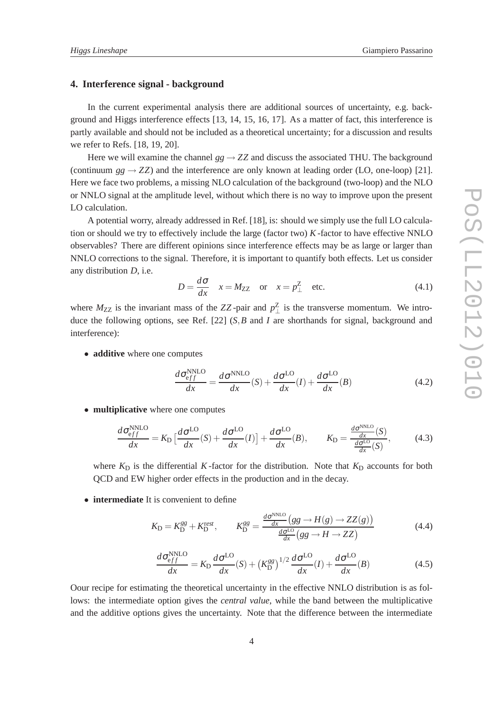#### **4. Interference signal - background**

In the current experimental analysis there are additional sources of uncertainty, e.g. background and Higgs interference effects [13, 14, 15, 16, 17]. As a matter of fact, this interference is partly available and should not be included as a theoretical uncertainty; for a discussion and results we refer to Refs. [18, 19, 20].

Here we will examine the channel  $gg \to ZZ$  and discuss the associated THU. The background (continuum  $gg \rightarrow ZZ$ ) and the interference are only known at leading order (LO, one-loop) [21]. Here we face two problems, a missing NLO calculation of the background (two-loop) and the NLO or NNLO signal at the amplitude level, without which there is no way to improve upon the present LO calculation.

A potential worry, already addressed in Ref. [18], is: should we simply use the full LO calculation or should we try to effectively include the large (factor two) *K* -factor to have effective NNLO observables? There are different opinions since interference effects may be as large or larger than NNLO corrections to the signal. Therefore, it is important to quantify both effects. Let us consider any distribution *D*, i.e.

$$
D = \frac{d\sigma}{dx} \quad x = M_{ZZ} \quad \text{or} \quad x = p_{\perp}^{Z} \quad \text{etc.}
$$
 (4.1)

where  $M_{ZZ}$  is the invariant mass of the ZZ-pair and  $p_{\perp}^{Z}$  $\frac{Z}{\perp}$  is the transverse momentum. We introduce the following options, see Ref. [22] (*S*,*B* and *I* are shorthands for signal, background and interference):

• **additive** where one computes

$$
\frac{d\sigma_{eff}^{NNLO}}{dx} = \frac{d\sigma^{NNLO}}{dx}(S) + \frac{d\sigma^{LO}}{dx}(I) + \frac{d\sigma^{LO}}{dx}(B)
$$
(4.2)

• **multiplicative** where one computes

$$
\frac{d\sigma_{eff}^{NNLO}}{dx} = K_{D} \left[ \frac{d\sigma^{LO}}{dx}(S) + \frac{d\sigma^{LO}}{dx}(I) \right] + \frac{d\sigma^{LO}}{dx}(B), \qquad K_{D} = \frac{\frac{d\sigma^{NNLO}}{dx}(S)}{\frac{d\sigma^{LO}}{dx}(S)},\tag{4.3}
$$

where  $K<sub>D</sub>$  is the differential *K*-factor for the distribution. Note that  $K<sub>D</sub>$  accounts for both QCD and EW higher order effects in the production and in the decay.

• **intermediate** It is convenient to define

$$
K_{\rm D} = K_{\rm D}^{gg} + K_{\rm D}^{rest}, \qquad K_{\rm D}^{gg} = \frac{\frac{d\sigma^{\rm NNLO}}{dx} \left(gg \to H(g) \to ZZ(g)\right)}{\frac{d\sigma^{\rm LO}}{dx} \left(gg \to H \to ZZ\right)}\tag{4.4}
$$

$$
\frac{d\sigma_{eff}^{NNLO}}{dx} = K_{D} \frac{d\sigma^{LO}}{dx}(S) + \left(K_{D}^{gg}\right)^{1/2} \frac{d\sigma^{LO}}{dx}(I) + \frac{d\sigma^{LO}}{dx}(B)
$$
(4.5)

Oour recipe for estimating the theoretical uncertainty in the effective NNLO distribution is as follows: the intermediate option gives the *central value*, while the band between the multiplicative and the additive options gives the uncertainty. Note that the difference between the intermediate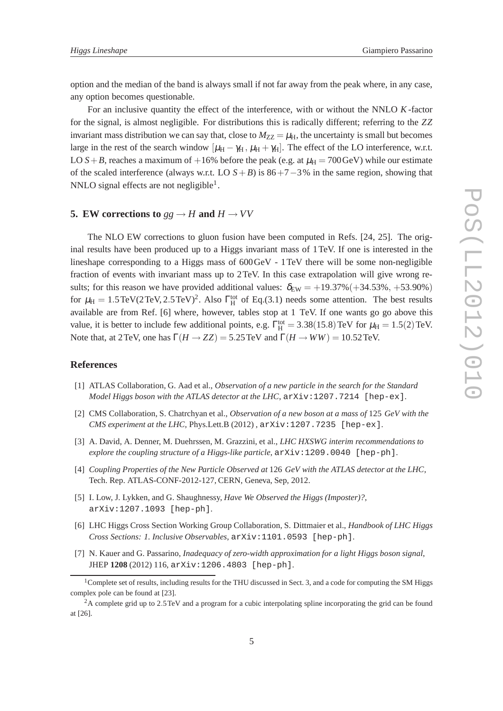option and the median of the band is always small if not far away from the peak where, in any case, any option becomes questionable.

For an inclusive quantity the effect of the interference, with or without the NNLO *K* -factor for the signal, is almost negligible. For distributions this is radically different; referring to the *ZZ* invariant mass distribution we can say that, close to  $M_{ZZ} = \mu_H$ , the uncertainty is small but becomes large in the rest of the search window  $[\mu_{\rm H} - \gamma_{\rm H}, \mu_{\rm H} + \gamma_{\rm H}]$ . The effect of the LO interference, w.r.t. LO  $S+B$ , reaches a maximum of  $+16\%$  before the peak (e.g. at  $\mu_H = 700 \,\text{GeV}$ ) while our estimate of the scaled interference (always w.r.t. LO *S*+*B*) is 86+7−3% in the same region, showing that NNLO signal effects are not negligible<sup>1</sup>.

### **5.** EW corrections to  $gg \rightarrow H$  and  $H \rightarrow VV$

The NLO EW corrections to gluon fusion have been computed in Refs. [24, 25]. The original results have been produced up to a Higgs invariant mass of 1TeV. If one is interested in the lineshape corresponding to a Higgs mass of 600GeV - 1TeV there will be some non-negligible fraction of events with invariant mass up to 2TeV. In this case extrapolation will give wrong results; for this reason we have provided additional values:  $\delta_{EW} = +19.37\% (+34.53\%, +53.90\%)$ for  $\mu_H = 1.5 \text{TeV} (2 \text{TeV}, 2.5 \text{TeV})^2$ . Also  $\Gamma_H^{\text{tot}}$  of Eq.(3.1) needs some attention. The best results available are from Ref. [6] where, however, tables stop at 1 TeV. If one wants go go above this value, it is better to include few additional points, e.g.  $\Gamma_H^{\text{tot}} = 3.38(15.8) \text{ TeV}$  for  $\mu_H = 1.5(2) \text{ TeV}$ . Note that, at 2TeV, one has  $\Gamma(H \to ZZ) = 5.25 \text{ TeV}$  and  $\Gamma(H \to WW) = 10.52 \text{ TeV}$ .

#### **References**

- [1] ATLAS Collaboration, G. Aad et al., *Observation of a new particle in the search for the Standard Model Higgs boson with the ATLAS detector at the LHC*, arXiv:1207.7214 [hep-ex].
- [2] CMS Collaboration, S. Chatrchyan et al., *Observation of a new boson at a mass of* 125 *GeV with the CMS experiment at the LHC*, Phys.Lett.B (2012),  $arXiv:1207.7235$  [hep-ex].
- [3] A. David, A. Denner, M. Duehrssen, M. Grazzini, et al., *LHC HXSWG interim recommendations to explore the coupling structure of a Higgs-like particle*, arXiv:1209.0040 [hep-ph].
- [4] *Coupling Properties of the New Particle Observed at* 126 *GeV with the ATLAS detector at the LHC*, Tech. Rep. ATLAS-CONF-2012-127, CERN, Geneva, Sep, 2012.
- [5] I. Low, J. Lykken, and G. Shaughnessy, *Have We Observed the Higgs (Imposter)?*, arXiv:1207.1093 [hep-ph].
- [6] LHC Higgs Cross Section Working Group Collaboration, S. Dittmaier et al., *Handbook of LHC Higgs Cross Sections: 1. Inclusive Observables*, arXiv:1101.0593 [hep-ph].
- [7] N. Kauer and G. Passarino, *Inadequacy of zero-width approximation for a light Higgs boson signal*, JHEP **1208** (2012) 116, arXiv:1206.4803 [hep-ph].

 $1$ Complete set of results, including results for the THU discussed in Sect. 3, and a code for computing the SM Higgs complex pole can be found at [23].

<sup>2</sup>A complete grid up to 2.5TeV and a program for a cubic interpolating spline incorporating the grid can be found at [26].